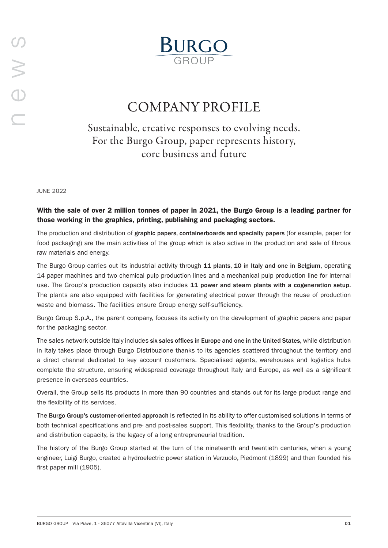

# COMPANY PROFILE

Sustainable, creative responses to evolving needs. For the Burgo Group, paper represents history, core business and future

JUNE 2022

## With the sale of over 2 million tonnes of paper in 2021, the Burgo Group is a leading partner for those working in the graphics, printing, publishing and packaging sectors.

The production and distribution of graphic papers, containerboards and specialty papers (for example, paper for food packaging) are the main activities of the group which is also active in the production and sale of fibrous raw materials and energy.

The Burgo Group carries out its industrial activity through 11 plants, 10 in Italy and one in Belgium, operating 14 paper machines and two chemical pulp production lines and a mechanical pulp production line for internal use. The Group's production capacity also includes 11 power and steam plants with a cogeneration setup. The plants are also equipped with facilities for generating electrical power through the reuse of production waste and biomass. The facilities ensure Group energy self-sufficiency.

Burgo Group S.p.A., the parent company, focuses its activity on the development of graphic papers and paper for the packaging sector.

The sales network outside Italy includes six sales offices in Europe and one in the United States, while distribution in Italy takes place through Burgo Distribuzione thanks to its agencies scattered throughout the territory and a direct channel dedicated to key account customers. Specialised agents, warehouses and logistics hubs complete the structure, ensuring widespread coverage throughout Italy and Europe, as well as a significant presence in overseas countries.

Overall, the Group sells its products in more than 90 countries and stands out for its large product range and the flexibility of its services.

The Burgo Group's customer-oriented approach is reflected in its ability to offer customised solutions in terms of both technical specifications and pre- and post-sales support. This flexibility, thanks to the Group's production and distribution capacity, is the legacy of a long entrepreneurial tradition.

The history of the Burgo Group started at the turn of the nineteenth and twentieth centuries, when a young engineer, Luigi Burgo, created a hydroelectric power station in Verzuolo, Piedmont (1899) and then founded his first paper mill (1905).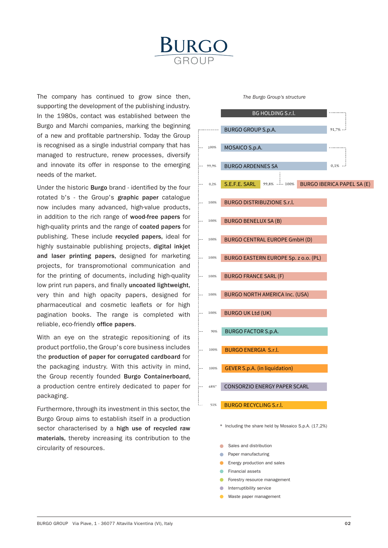

The company has continued to grow since then, supporting the development of the publishing industry. In the 1980s, contact was established between the Burgo and Marchi companies, marking the beginning of a new and profitable partnership. Today the Group is recognised as a single industrial company that has managed to restructure, renew processes, diversify and innovate its offer in response to the emerging needs of the market.

Under the historic Burgo brand - identified by the four rotated b's - the Group's graphic paper catalogue now includes many advanced, high-value products, in addition to the rich range of wood-free papers for high-quality prints and the range of coated papers for publishing. These include recycled papers, ideal for highly sustainable publishing projects, digital inkjet and laser printing papers, designed for marketing projects, for transpromotional communication and for the printing of documents, including high-quality low print run papers, and finally uncoated lightweight, very thin and high opacity papers, designed for pharmaceutical and cosmetic leaflets or for high pagination books. The range is completed with reliable, eco-friendly office papers.

With an eye on the strategic repositioning of its product portfolio, the Group's core business includes the production of paper for corrugated cardboard for the packaging industry. With this activity in mind, the Group recently founded Burgo Containerboard, a production centre entirely dedicated to paper for packaging.

Furthermore, through its investment in this sector, the Burgo Group aims to establish itself in a production sector characterised by a high use of recycled raw materials, thereby increasing its contribution to the circularity of resources.

#### *The Burgo Group's structure*



\* Including the share held by Mosaico S.p.A. (17,2%) \* Including the share held by Mosaico S.p.A. (17,2%)

- Sales and distribution
- Paper manufacturing
- Energy production and sales
- Financial assets
- Forestry resource management
- Interruptibility service
- Waste paper management